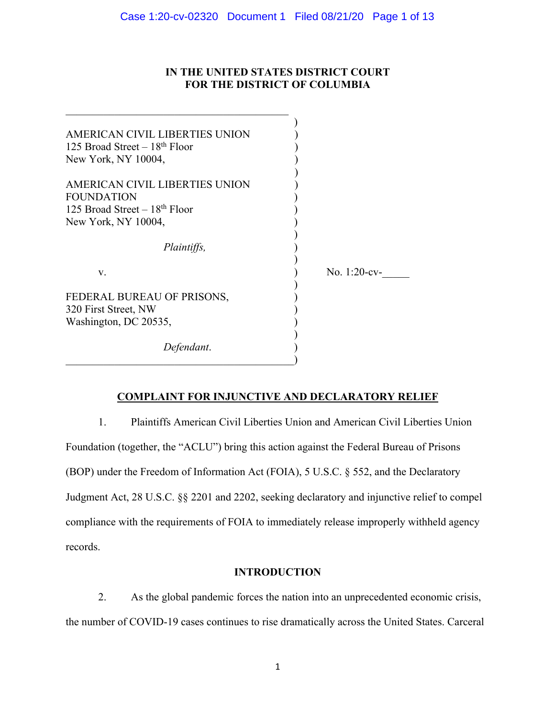# **IN THE UNITED STATES DISTRICT COURT FOR THE DISTRICT OF COLUMBIA**

| AMERICAN CIVIL LIBERTIES UNION |                 |
|--------------------------------|-----------------|
| 125 Broad Street $-18th$ Floor |                 |
| New York, NY 10004,            |                 |
| AMERICAN CIVIL LIBERTIES UNION |                 |
| <b>FOUNDATION</b>              |                 |
| 125 Broad Street $-18th$ Floor |                 |
| New York, NY 10004,            |                 |
| <i>Plaintiffs,</i>             |                 |
| V.                             | No. $1:20$ -cv- |
| FEDERAL BUREAU OF PRISONS,     |                 |
| 320 First Street, NW           |                 |
| Washington, DC 20535,          |                 |
| Defendant.                     |                 |
|                                |                 |

# **COMPLAINT FOR INJUNCTIVE AND DECLARATORY RELIEF**

1. Plaintiffs American Civil Liberties Union and American Civil Liberties Union Foundation (together, the "ACLU") bring this action against the Federal Bureau of Prisons (BOP) under the Freedom of Information Act (FOIA), 5 U.S.C. § 552, and the Declaratory Judgment Act, 28 U.S.C. §§ 2201 and 2202, seeking declaratory and injunctive relief to compel compliance with the requirements of FOIA to immediately release improperly withheld agency records.

# **INTRODUCTION**

2. As the global pandemic forces the nation into an unprecedented economic crisis, the number of COVID-19 cases continues to rise dramatically across the United States. Carceral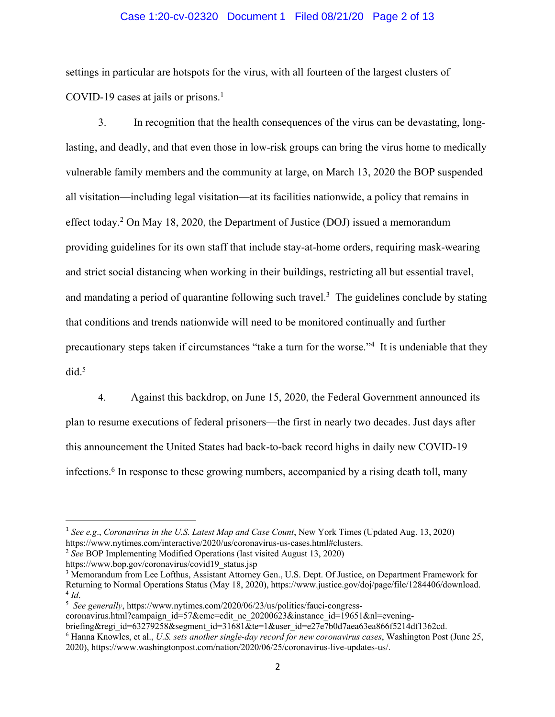## Case 1:20-cv-02320 Document 1 Filed 08/21/20 Page 2 of 13

settings in particular are hotspots for the virus, with all fourteen of the largest clusters of COVID-19 cases at jails or prisons. $<sup>1</sup>$ </sup>

3. In recognition that the health consequences of the virus can be devastating, longlasting, and deadly, and that even those in low-risk groups can bring the virus home to medically vulnerable family members and the community at large, on March 13, 2020 the BOP suspended all visitation—including legal visitation—at its facilities nationwide, a policy that remains in effect today. <sup>2</sup> On May 18, 2020, the Department of Justice (DOJ) issued a memorandum providing guidelines for its own staff that include stay-at-home orders, requiring mask-wearing and strict social distancing when working in their buildings, restricting all but essential travel, and mandating a period of quarantine following such travel.<sup>3</sup> The guidelines conclude by stating that conditions and trends nationwide will need to be monitored continually and further precautionary steps taken if circumstances "take a turn for the worse."<sup>4</sup> It is undeniable that they did. 5

4. Against this backdrop, on June 15, 2020, the Federal Government announced its plan to resume executions of federal prisoners—the first in nearly two decades. Just days after this announcement the United States had back-to-back record highs in daily new COVID-19 infections. <sup>6</sup> In response to these growing numbers, accompanied by a rising death toll, many

coronavirus.html?campaign\_id=57&emc=edit\_ne\_20200623&instance\_id=19651&nl=evening-

<sup>1</sup> *See e.g*., *Coronavirus in the U.S. Latest Map and Case Count*, New York Times (Updated Aug. 13, 2020) https://www.nytimes.com/interactive/2020/us/coronavirus-us-cases.html#clusters.

<sup>2</sup> *See* BOP Implementing Modified Operations (last visited August 13, 2020)

https://www.bop.gov/coronavirus/covid19\_status.jsp

<sup>3</sup> Memorandum from Lee Lofthus, Assistant Attorney Gen., U.S. Dept. Of Justice, on Department Framework for Returning to Normal Operations Status (May 18, 2020), https://www.justice.gov/doj/page/file/1284406/download. 4 *Id*.

<sup>&</sup>lt;sup>5</sup> See generally, https://www.nytimes.com/2020/06/23/us/politics/fauci-congress-

briefing&regi\_id=63279258&segment\_id=31681&te=1&user\_id=e27e7b0d7aea63ea866f5214df1362cd.

<sup>6</sup> Hanna Knowles, et al., *U.S. sets another single-day record for new coronavirus cases*, Washington Post (June 25, 2020), https://www.washingtonpost.com/nation/2020/06/25/coronavirus-live-updates-us/.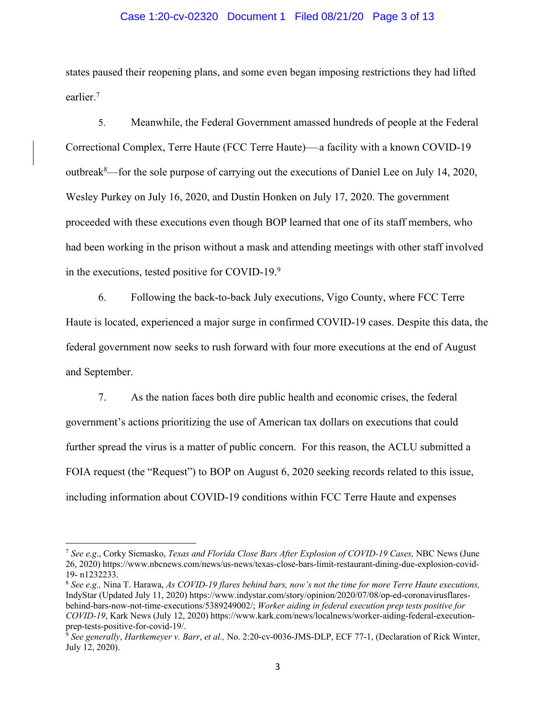## Case 1:20-cv-02320 Document 1 Filed 08/21/20 Page 3 of 13

states paused their reopening plans, and some even began imposing restrictions they had lifted earlier.7

5. Meanwhile, the Federal Government amassed hundreds of people at the Federal Correctional Complex, Terre Haute (FCC Terre Haute)— a facility with a known COVID-19 outbreak<sup>8</sup>—for the sole purpose of carrying out the executions of Daniel Lee on July 14, 2020, Wesley Purkey on July 16, 2020, and Dustin Honken on July 17, 2020. The government proceeded with these executions even though BOP learned that one of its staff members, who had been working in the prison without a mask and attending meetings with other staff involved in the executions, tested positive for COVID-19.9

6. Following the back-to-back July executions, Vigo County, where FCC Terre Haute is located, experienced a major surge in confirmed COVID-19 cases. Despite this data, the federal government now seeks to rush forward with four more executions at the end of August and September.

7. As the nation faces both dire public health and economic crises, the federal government's actions prioritizing the use of American tax dollars on executions that could further spread the virus is a matter of public concern. For this reason, the ACLU submitted a FOIA request (the "Request") to BOP on August 6, 2020 seeking records related to this issue, including information about COVID-19 conditions within FCC Terre Haute and expenses

<sup>7</sup> *See e.g*., Corky Siemasko, *Texas and Florida Close Bars After Explosion of COVID-19 Cases,* NBC News (June 26, 2020) https://www.nbcnews.com/news/us-news/texas-close-bars-limit-restaurant-dining-due-explosion-covid-19- n1232233.

<sup>8</sup> *See e.g.,* Nina T. Harawa, *As COVID-19 flares behind bars, now's not the time for more Terre Haute executions,*  IndyStar (Updated July 11, 2020) https://www.indystar.com/story/opinion/2020/07/08/op-ed-coronavirusflaresbehind-bars-now-not-time-executions/5389249002/; *Worker aiding in federal execution prep tests positive for COVID-19*, Kark News (July 12, 2020) https://www.kark.com/news/localnews/worker-aiding-federal-execution-

<sup>&</sup>lt;sup>9</sup> See generally, *Hartkemeyer v. Barr, et al., No.* 2:20-cv-0036-JMS-DLP, ECF 77-1, (Declaration of Rick Winter, July 12, 2020).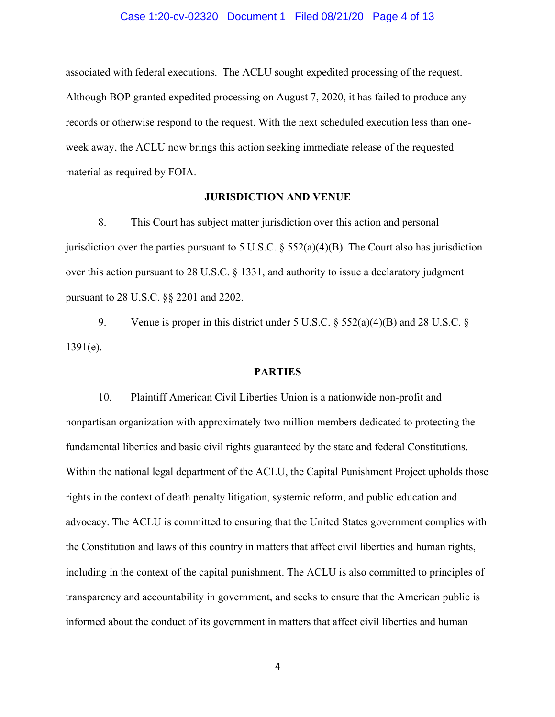## Case 1:20-cv-02320 Document 1 Filed 08/21/20 Page 4 of 13

associated with federal executions. The ACLU sought expedited processing of the request. Although BOP granted expedited processing on August 7, 2020, it has failed to produce any records or otherwise respond to the request. With the next scheduled execution less than oneweek away, the ACLU now brings this action seeking immediate release of the requested material as required by FOIA.

## **JURISDICTION AND VENUE**

8. This Court has subject matter jurisdiction over this action and personal jurisdiction over the parties pursuant to 5 U.S.C.  $\S$  552(a)(4)(B). The Court also has jurisdiction over this action pursuant to 28 U.S.C. § 1331, and authority to issue a declaratory judgment pursuant to 28 U.S.C. §§ 2201 and 2202.

9. Venue is proper in this district under 5 U.S.C.  $\S$  552(a)(4)(B) and 28 U.S.C.  $\S$ 1391(e).

#### **PARTIES**

10. Plaintiff American Civil Liberties Union is a nationwide non-profit and nonpartisan organization with approximately two million members dedicated to protecting the fundamental liberties and basic civil rights guaranteed by the state and federal Constitutions. Within the national legal department of the ACLU, the Capital Punishment Project upholds those rights in the context of death penalty litigation, systemic reform, and public education and advocacy. The ACLU is committed to ensuring that the United States government complies with the Constitution and laws of this country in matters that affect civil liberties and human rights, including in the context of the capital punishment. The ACLU is also committed to principles of transparency and accountability in government, and seeks to ensure that the American public is informed about the conduct of its government in matters that affect civil liberties and human

4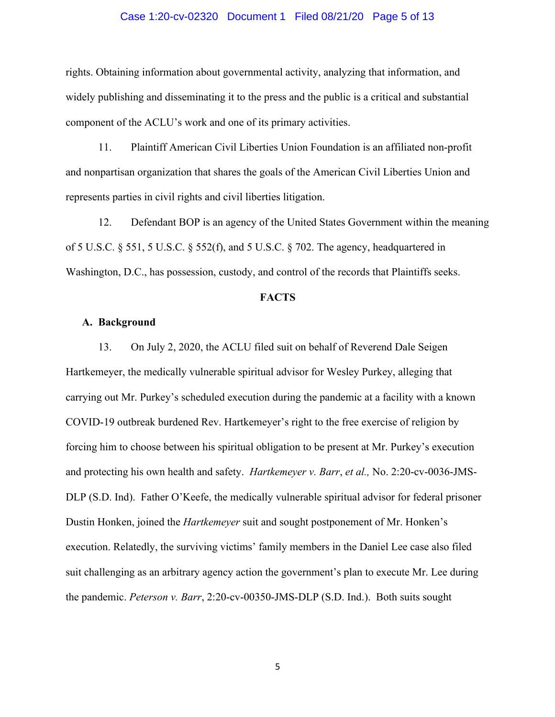## Case 1:20-cv-02320 Document 1 Filed 08/21/20 Page 5 of 13

rights. Obtaining information about governmental activity, analyzing that information, and widely publishing and disseminating it to the press and the public is a critical and substantial component of the ACLU's work and one of its primary activities.

11. Plaintiff American Civil Liberties Union Foundation is an affiliated non-profit and nonpartisan organization that shares the goals of the American Civil Liberties Union and represents parties in civil rights and civil liberties litigation.

12. Defendant BOP is an agency of the United States Government within the meaning of 5 U.S.C. § 551, 5 U.S.C. § 552(f), and 5 U.S.C. § 702. The agency, headquartered in Washington, D.C., has possession, custody, and control of the records that Plaintiffs seeks.

## **FACTS**

#### **A. Background**

13. On July 2, 2020, the ACLU filed suit on behalf of Reverend Dale Seigen Hartkemeyer, the medically vulnerable spiritual advisor for Wesley Purkey, alleging that carrying out Mr. Purkey's scheduled execution during the pandemic at a facility with a known COVID-19 outbreak burdened Rev. Hartkemeyer's right to the free exercise of religion by forcing him to choose between his spiritual obligation to be present at Mr. Purkey's execution and protecting his own health and safety. *Hartkemeyer v. Barr*, *et al.,* No. 2:20-cv-0036-JMS-DLP (S.D. Ind). Father O'Keefe, the medically vulnerable spiritual advisor for federal prisoner Dustin Honken, joined the *Hartkemeyer* suit and sought postponement of Mr. Honken's execution. Relatedly, the surviving victims' family members in the Daniel Lee case also filed suit challenging as an arbitrary agency action the government's plan to execute Mr. Lee during the pandemic. *Peterson v. Barr*, 2:20-cv-00350-JMS-DLP (S.D. Ind.). Both suits sought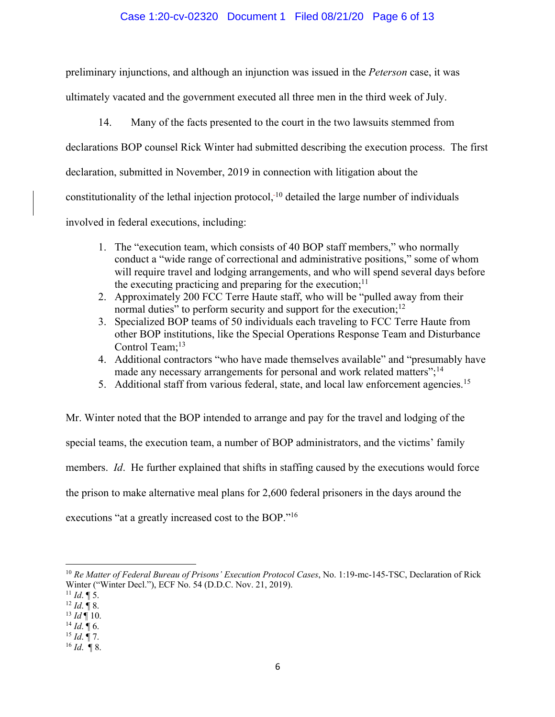## Case 1:20-cv-02320 Document 1 Filed 08/21/20 Page 6 of 13

preliminary injunctions, and although an injunction was issued in the *Peterson* case, it was ultimately vacated and the government executed all three men in the third week of July.

14. Many of the facts presented to the court in the two lawsuits stemmed from declarations BOP counsel Rick Winter had submitted describing the execution process. The first declaration, submitted in November, 2019 in connection with litigation about the constitutionality of the lethal injection protocol, $<sup>-10</sup>$  detailed the large number of individuals</sup> involved in federal executions, including:

- 1. The "execution team, which consists of 40 BOP staff members," who normally conduct a "wide range of correctional and administrative positions," some of whom will require travel and lodging arrangements, and who will spend several days before the executing practicing and preparing for the execution; $<sup>11</sup>$ </sup>
- 2. Approximately 200 FCC Terre Haute staff, who will be "pulled away from their normal duties" to perform security and support for the execution;<sup>12</sup>
- 3. Specialized BOP teams of 50 individuals each traveling to FCC Terre Haute from other BOP institutions, like the Special Operations Response Team and Disturbance Control Team;<sup>13</sup>
- 4. Additional contractors "who have made themselves available" and "presumably have made any necessary arrangements for personal and work related matters";<sup>14</sup>
- 5. Additional staff from various federal, state, and local law enforcement agencies.<sup>15</sup>

Mr. Winter noted that the BOP intended to arrange and pay for the travel and lodging of the special teams, the execution team, a number of BOP administrators, and the victims' family members. *Id*. He further explained that shifts in staffing caused by the executions would force the prison to make alternative meal plans for 2,600 federal prisoners in the days around the executions "at a greatly increased cost to the BOP."16

<sup>10</sup> *Re Matter of Federal Bureau of Prisons' Execution Protocol Cases*, No. 1:19-mc-145-TSC, Declaration of Rick Winter ("Winter Decl."), ECF No. 54 (D.D.C. Nov. 21, 2019).

 $11$  *Id.*  $\llbracket 5$ .

 $12$  *Id.* ¶ 8.

 $^{13}$  *Id*  $\overline{$  10.

<sup>14</sup> *Id*. ¶ 6. 15 *Id*. ¶ 7. 16 *Id*. ¶ 8.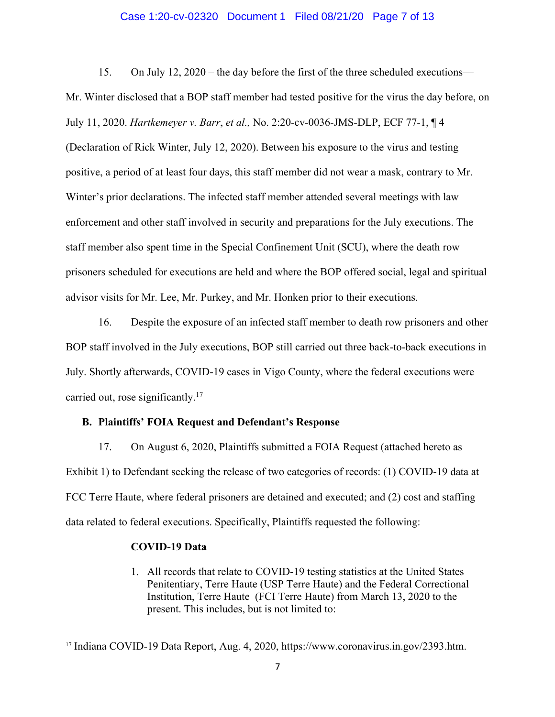## Case 1:20-cv-02320 Document 1 Filed 08/21/20 Page 7 of 13

15. On July 12, 2020 – the day before the first of the three scheduled executions— Mr. Winter disclosed that a BOP staff member had tested positive for the virus the day before, on July 11, 2020. *Hartkemeyer v. Barr*, *et al.,* No. 2:20-cv-0036-JMS-DLP, ECF 77-1, ¶ 4 (Declaration of Rick Winter, July 12, 2020). Between his exposure to the virus and testing positive, a period of at least four days, this staff member did not wear a mask, contrary to Mr. Winter's prior declarations. The infected staff member attended several meetings with law enforcement and other staff involved in security and preparations for the July executions. The staff member also spent time in the Special Confinement Unit (SCU), where the death row prisoners scheduled for executions are held and where the BOP offered social, legal and spiritual advisor visits for Mr. Lee, Mr. Purkey, and Mr. Honken prior to their executions.

16. Despite the exposure of an infected staff member to death row prisoners and other BOP staff involved in the July executions, BOP still carried out three back-to-back executions in July. Shortly afterwards, COVID-19 cases in Vigo County, where the federal executions were carried out, rose significantly.<sup>17</sup>

## **B. Plaintiffs' FOIA Request and Defendant's Response**

17. On August 6, 2020, Plaintiffs submitted a FOIA Request (attached hereto as Exhibit 1) to Defendant seeking the release of two categories of records: (1) COVID-19 data at FCC Terre Haute, where federal prisoners are detained and executed; and (2) cost and staffing data related to federal executions. Specifically, Plaintiffs requested the following:

### **COVID-19 Data**

1. All records that relate to COVID-19 testing statistics at the United States Penitentiary, Terre Haute (USP Terre Haute) and the Federal Correctional Institution, Terre Haute (FCI Terre Haute) from March 13, 2020 to the present. This includes, but is not limited to:

<sup>17</sup> Indiana COVID-19 Data Report, Aug. 4, 2020, https://www.coronavirus.in.gov/2393.htm.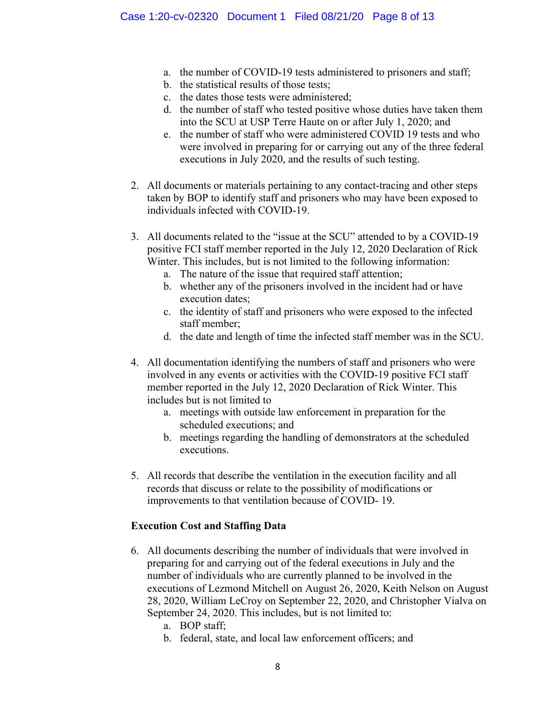- a. the number of COVID-19 tests administered to prisoners and staff;
- b. the statistical results of those tests;
- c. the dates those tests were administered;
- d. the number of staff who tested positive whose duties have taken them into the SCU at USP Terre Haute on or after July 1, 2020; and
- e. the number of staff who were administered COVID 19 tests and who were involved in preparing for or carrying out any of the three federal executions in July 2020, and the results of such testing.
- 2. All documents or materials pertaining to any contact-tracing and other steps taken by BOP to identify staff and prisoners who may have been exposed to individuals infected with COVID-19.
- 3. All documents related to the "issue at the SCU" attended to by a COVID-19 positive FCI staff member reported in the July 12, 2020 Declaration of Rick Winter. This includes, but is not limited to the following information:
	- a. The nature of the issue that required staff attention;
	- b. whether any of the prisoners involved in the incident had or have execution dates;
	- c. the identity of staff and prisoners who were exposed to the infected staff member;
	- d. the date and length of time the infected staff member was in the SCU.
- 4. All documentation identifying the numbers of staff and prisoners who were involved in any events or activities with the COVID-19 positive FCI staff member reported in the July 12, 2020 Declaration of Rick Winter. This includes but is not limited to
	- a. meetings with outside law enforcement in preparation for the scheduled executions; and
	- b. meetings regarding the handling of demonstrators at the scheduled executions.
- 5. All records that describe the ventilation in the execution facility and all records that discuss or relate to the possibility of modifications or improvements to that ventilation because of COVID- 19.

# **Execution Cost and Staffing Data**

- 6. All documents describing the number of individuals that were involved in preparing for and carrying out of the federal executions in July and the number of individuals who are currently planned to be involved in the executions of Lezmond Mitchell on August 26, 2020, Keith Nelson on August 28, 2020, William LeCroy on September 22, 2020, and Christopher Vialva on September 24, 2020. This includes, but is not limited to:
	- a. BOP staff;
	- b. federal, state, and local law enforcement officers; and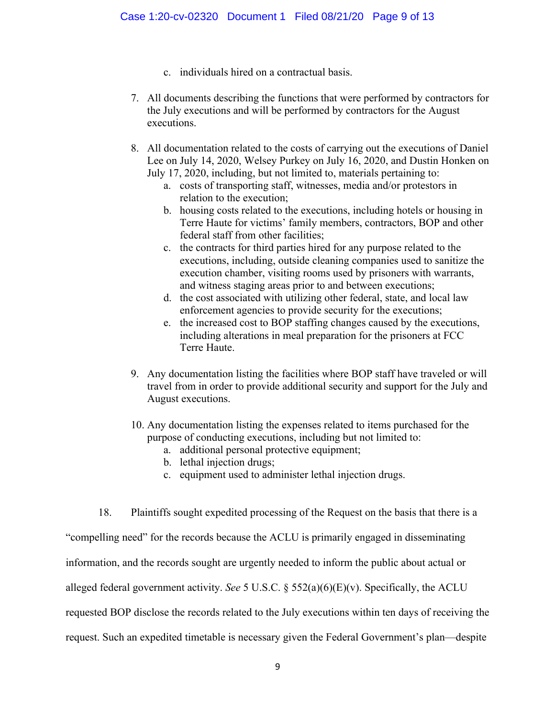- c. individuals hired on a contractual basis.
- 7. All documents describing the functions that were performed by contractors for the July executions and will be performed by contractors for the August executions.
- 8. All documentation related to the costs of carrying out the executions of Daniel Lee on July 14, 2020, Welsey Purkey on July 16, 2020, and Dustin Honken on July 17, 2020, including, but not limited to, materials pertaining to:
	- a. costs of transporting staff, witnesses, media and/or protestors in relation to the execution;
	- b. housing costs related to the executions, including hotels or housing in Terre Haute for victims' family members, contractors, BOP and other federal staff from other facilities;
	- c. the contracts for third parties hired for any purpose related to the executions, including, outside cleaning companies used to sanitize the execution chamber, visiting rooms used by prisoners with warrants, and witness staging areas prior to and between executions;
	- d. the cost associated with utilizing other federal, state, and local law enforcement agencies to provide security for the executions;
	- e. the increased cost to BOP staffing changes caused by the executions, including alterations in meal preparation for the prisoners at FCC Terre Haute.
- 9. Any documentation listing the facilities where BOP staff have traveled or will travel from in order to provide additional security and support for the July and August executions.
- 10. Any documentation listing the expenses related to items purchased for the purpose of conducting executions, including but not limited to:
	- a. additional personal protective equipment;
	- b. lethal injection drugs;
	- c. equipment used to administer lethal injection drugs.
- 18. Plaintiffs sought expedited processing of the Request on the basis that there is a

"compelling need" for the records because the ACLU is primarily engaged in disseminating information, and the records sought are urgently needed to inform the public about actual or alleged federal government activity. *See* 5 U.S.C. § 552(a)(6)(E)(v). Specifically, the ACLU requested BOP disclose the records related to the July executions within ten days of receiving the request. Such an expedited timetable is necessary given the Federal Government's plan—despite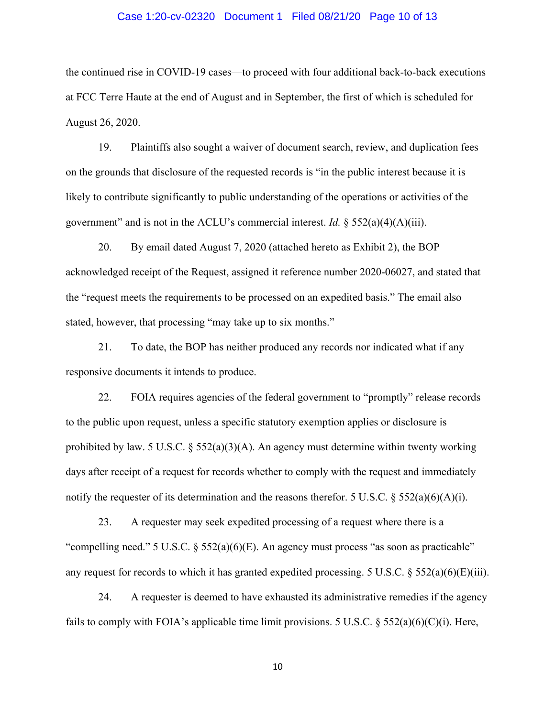## Case 1:20-cv-02320 Document 1 Filed 08/21/20 Page 10 of 13

the continued rise in COVID-19 cases—to proceed with four additional back-to-back executions at FCC Terre Haute at the end of August and in September, the first of which is scheduled for August 26, 2020.

19. Plaintiffs also sought a waiver of document search, review, and duplication fees on the grounds that disclosure of the requested records is "in the public interest because it is likely to contribute significantly to public understanding of the operations or activities of the government" and is not in the ACLU's commercial interest. *Id.*  $\S$  552(a)(4)(A)(iii).

20. By email dated August 7, 2020 (attached hereto as Exhibit 2), the BOP acknowledged receipt of the Request, assigned it reference number 2020-06027, and stated that the "request meets the requirements to be processed on an expedited basis." The email also stated, however, that processing "may take up to six months."

21. To date, the BOP has neither produced any records nor indicated what if any responsive documents it intends to produce.

22. FOIA requires agencies of the federal government to "promptly" release records to the public upon request, unless a specific statutory exemption applies or disclosure is prohibited by law. 5 U.S.C. § 552(a)(3)(A). An agency must determine within twenty working days after receipt of a request for records whether to comply with the request and immediately notify the requester of its determination and the reasons therefor. 5 U.S.C.  $\S$  552(a)(6)(A)(i).

23. A requester may seek expedited processing of a request where there is a "compelling need." 5 U.S.C. § 552(a)(6)(E). An agency must process "as soon as practicable" any request for records to which it has granted expedited processing. 5 U.S.C. § 552(a)(6)(E)(iii).

24. A requester is deemed to have exhausted its administrative remedies if the agency fails to comply with FOIA's applicable time limit provisions. 5 U.S.C.  $\S$  552(a)(6)(C)(i). Here,

10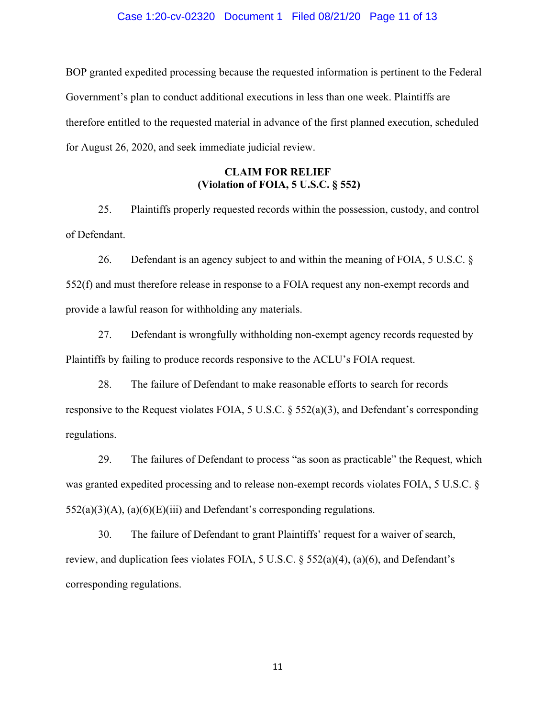## Case 1:20-cv-02320 Document 1 Filed 08/21/20 Page 11 of 13

BOP granted expedited processing because the requested information is pertinent to the Federal Government's plan to conduct additional executions in less than one week. Plaintiffs are therefore entitled to the requested material in advance of the first planned execution, scheduled for August 26, 2020, and seek immediate judicial review.

# **CLAIM FOR RELIEF (Violation of FOIA, 5 U.S.C. § 552)**

25. Plaintiffs properly requested records within the possession, custody, and control of Defendant.

26. Defendant is an agency subject to and within the meaning of FOIA, 5 U.S.C. § 552(f) and must therefore release in response to a FOIA request any non-exempt records and provide a lawful reason for withholding any materials.

27. Defendant is wrongfully withholding non-exempt agency records requested by Plaintiffs by failing to produce records responsive to the ACLU's FOIA request.

28. The failure of Defendant to make reasonable efforts to search for records responsive to the Request violates FOIA, 5 U.S.C. § 552(a)(3), and Defendant's corresponding regulations.

29. The failures of Defendant to process "as soon as practicable" the Request, which was granted expedited processing and to release non-exempt records violates FOIA, 5 U.S.C. §  $552(a)(3)(A)$ ,  $(a)(6)(E)(iii)$  and Defendant's corresponding regulations.

30. The failure of Defendant to grant Plaintiffs' request for a waiver of search, review, and duplication fees violates FOIA, 5 U.S.C. § 552(a)(4), (a)(6), and Defendant's corresponding regulations.

11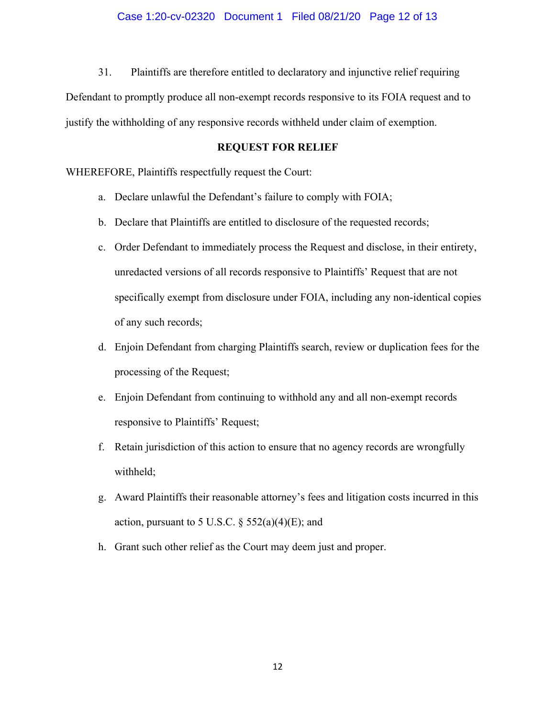31. Plaintiffs are therefore entitled to declaratory and injunctive relief requiring

Defendant to promptly produce all non-exempt records responsive to its FOIA request and to justify the withholding of any responsive records withheld under claim of exemption.

## **REQUEST FOR RELIEF**

WHEREFORE, Plaintiffs respectfully request the Court:

- a. Declare unlawful the Defendant's failure to comply with FOIA;
- b. Declare that Plaintiffs are entitled to disclosure of the requested records;
- c. Order Defendant to immediately process the Request and disclose, in their entirety, unredacted versions of all records responsive to Plaintiffs' Request that are not specifically exempt from disclosure under FOIA, including any non-identical copies of any such records;
- d. Enjoin Defendant from charging Plaintiffs search, review or duplication fees for the processing of the Request;
- e. Enjoin Defendant from continuing to withhold any and all non-exempt records responsive to Plaintiffs' Request;
- f. Retain jurisdiction of this action to ensure that no agency records are wrongfully withheld;
- g. Award Plaintiffs their reasonable attorney's fees and litigation costs incurred in this action, pursuant to 5 U.S.C.  $\S$  552(a)(4)(E); and
- h. Grant such other relief as the Court may deem just and proper.